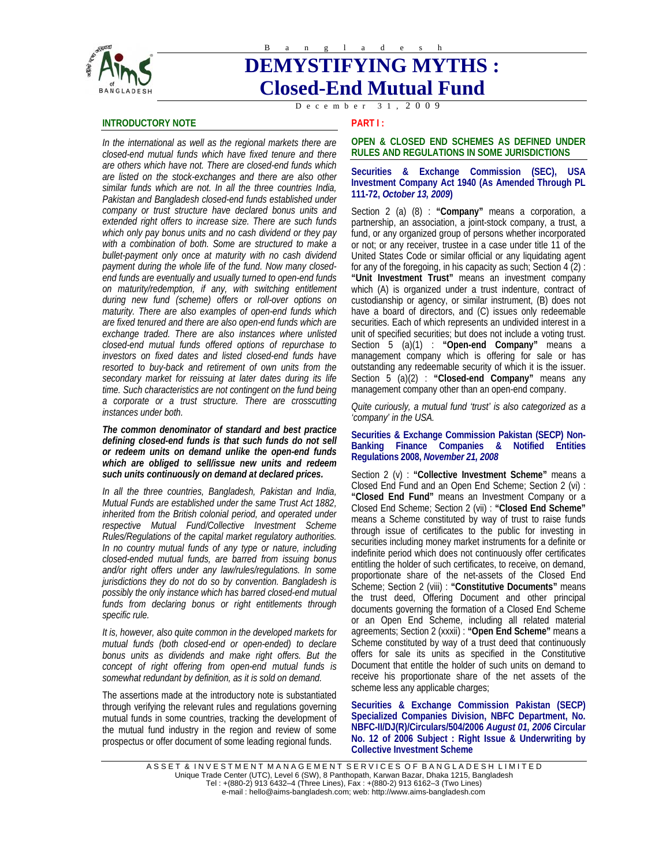

# **DEMYSTIFYING MYTHS : Closed-End Mutual Fund**

D e c e m b e r 3 1 , 2 0 0 9

# **INTRODUCTORY NOTE**

*In the international as well as the regional markets there are closed-end mutual funds which have fixed tenure and there are others which have not. There are closed-end funds which are listed on the stock-exchanges and there are also other similar funds which are not. In all the three countries India, Pakistan and Bangladesh closed-end funds established under company or trust structure have declared bonus units and extended right offers to increase size. There are such funds which only pay bonus units and no cash dividend or they pay with a combination of both. Some are structured to make a bullet-payment only once at maturity with no cash dividend payment during the whole life of the fund. Now many closedend funds are eventually and usually turned to open-end funds on maturity/redemption, if any, with switching entitlement during new fund (scheme) offers or roll-over options on maturity. There are also examples of open-end funds which are fixed tenured and there are also open-end funds which are exchange traded. There are also instances where unlisted closed-end mutual funds offered options of repurchase to investors on fixed dates and listed closed-end funds have resorted to buy-back and retirement of own units from the secondary market for reissuing at later dates during its life time. Such characteristics are not contingent on the fund being a corporate or a trust structure. There are crosscutting instances under both.* 

*The common denominator of standard and best practice defining closed-end funds is that such funds do not sell or redeem units on demand unlike the open-end funds which are obliged to sell/issue new units and redeem such units continuously on demand at declared prices.* 

*In all the three countries, Bangladesh, Pakistan and India, Mutual Funds are established under the same Trust Act 1882, inherited from the British colonial period, and operated under respective Mutual Fund/Collective Investment Scheme Rules/Regulations of the capital market regulatory authorities. In no country mutual funds of any type or nature, including closed-ended mutual funds, are barred from issuing bonus and/or right offers under any law/rules/regulations. In some jurisdictions they do not do so by convention. Bangladesh is possibly the only instance which has barred closed-end mutual funds from declaring bonus or right entitlements through specific rule.* 

*It is, however, also quite common in the developed markets for mutual funds (both closed-end or open-ended) to declare bonus units as dividends and make right offers. But the concept of right offering from open-end mutual funds is somewhat redundant by definition, as it is sold on demand.* 

The assertions made at the introductory note is substantiated through verifying the relevant rules and regulations governing mutual funds in some countries, tracking the development of the mutual fund industry in the region and review of some prospectus or offer document of some leading regional funds.

**PART I :** 

# **OPEN & CLOSED END SCHEMES AS DEFINED UNDER RULES AND REGULATIONS IN SOME JURISDICTIONS**

## **Securities & Exchange Commission (SEC), USA Investment Company Act 1940 (As Amended Through PL 111-72,** *October 13, 2009***)**

Section 2 (a) (8) : **"Company"** means a corporation, a partnership, an association, a joint-stock company, a trust, a fund, or any organized group of persons whether incorporated or not; or any receiver, trustee in a case under title 11 of the United States Code or similar official or any liquidating agent for any of the foregoing, in his capacity as such; Section 4 (2) : **"Unit Investment Trust"** means an investment company which (A) is organized under a trust indenture, contract of custodianship or agency, or similar instrument, (B) does not have a board of directors, and (C) issues only redeemable securities. Each of which represents an undivided interest in a unit of specified securities; but does not include a voting trust. Section 5 (a)(1) : **"Open-end Company"** means a management company which is offering for sale or has outstanding any redeemable security of which it is the issuer. Section 5 (a)(2) : **"Closed-end Company"** means any management company other than an open-end company.

*Quite curiously, a mutual fund 'trust' is also categorized as a 'company' in the USA.* 

## **Securities & Exchange Commission Pakistan (SECP) Non-Banking Finance Companies & Notified Entities Regulations 2008,** *November 21, 2008*

Section 2 (v) : **"Collective Investment Scheme"** means a Closed End Fund and an Open End Scheme; Section 2 (vi) : **"Closed End Fund"** means an Investment Company or a Closed End Scheme; Section 2 (vii) : **"Closed End Scheme"** means a Scheme constituted by way of trust to raise funds through issue of certificates to the public for investing in securities including money market instruments for a definite or indefinite period which does not continuously offer certificates entitling the holder of such certificates, to receive, on demand, proportionate share of the net-assets of the Closed End Scheme; Section 2 (viii) : **"Constitutive Documents"** means the trust deed, Offering Document and other principal documents governing the formation of a Closed End Scheme or an Open End Scheme, including all related material agreements; Section 2 (xxxii) : **"Open End Scheme"** means a Scheme constituted by way of a trust deed that continuously offers for sale its units as specified in the Constitutive Document that entitle the holder of such units on demand to receive his proportionate share of the net assets of the scheme less any applicable charges;

**Securities & Exchange Commission Pakistan (SECP) Specialized Companies Division, NBFC Department, No. NBFC-II/DJ(R)/Circulars/504/2006** *August 01, 2006* **Circular No. 12 of 2006 Subject : Right Issue & Underwriting by Collective Investment Scheme**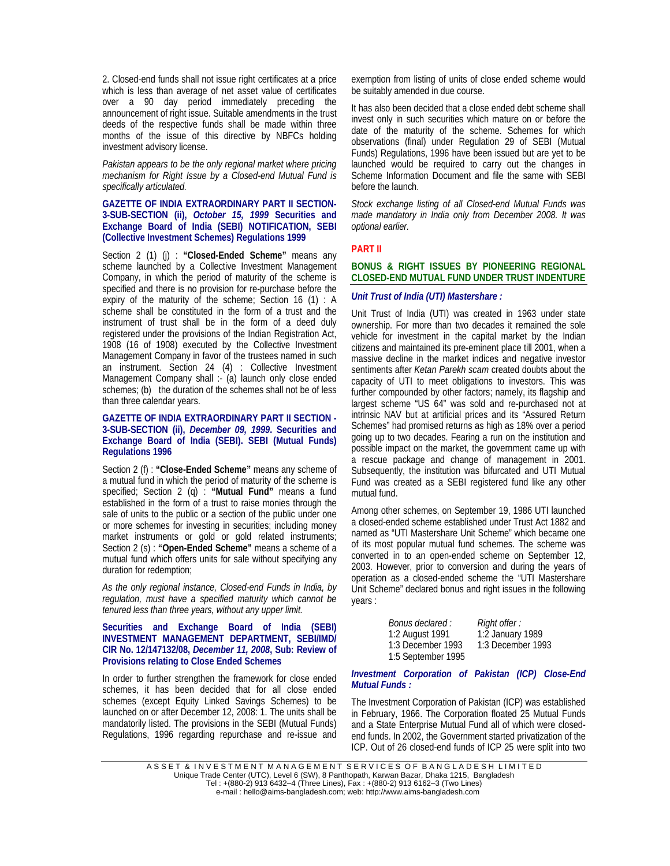2. Closed-end funds shall not issue right certificates at a price which is less than average of net asset value of certificates over a 90 day period immediately preceding the announcement of right issue. Suitable amendments in the trust deeds of the respective funds shall be made within three months of the issue of this directive by NBFCs holding investment advisory license.

*Pakistan appears to be the only regional market where pricing mechanism for Right Issue by a Closed-end Mutual Fund is specifically articulated.* 

## **GAZETTE OF INDIA EXTRAORDINARY PART II SECTION-3-SUB-SECTION (ii),** *October 15, 1999* **Securities and Exchange Board of India (SEBI) NOTIFICATION, SEBI (Collective Investment Schemes) Regulations 1999**

Section 2 (1) (j) : **"Closed-Ended Scheme"** means any scheme launched by a Collective Investment Management Company, in which the period of maturity of the scheme is specified and there is no provision for re-purchase before the expiry of the maturity of the scheme; Section 16 (1) : A scheme shall be constituted in the form of a trust and the instrument of trust shall be in the form of a deed duly registered under the provisions of the Indian Registration Act, 1908 (16 of 1908) executed by the Collective Investment Management Company in favor of the trustees named in such an instrument. Section 24 (4) : Collective Investment Management Company shall :- (a) launch only close ended schemes; (b) the duration of the schemes shall not be of less than three calendar years.

## **GAZETTE OF INDIA EXTRAORDINARY PART II SECTION - 3-SUB-SECTION (ii),** *December 09, 1999***. Securities and Exchange Board of India (SEBI). SEBI (Mutual Funds) Regulations 1996**

Section 2 (f) : **"Close-Ended Scheme"** means any scheme of a mutual fund in which the period of maturity of the scheme is specified; Section 2 (q) : **"Mutual Fund"** means a fund established in the form of a trust to raise monies through the sale of units to the public or a section of the public under one or more schemes for investing in securities; including money market instruments or gold or gold related instruments; Section 2 (s) : **"Open-Ended Scheme"** means a scheme of a mutual fund which offers units for sale without specifying any duration for redemption;

*As the only regional instance, Closed-end Funds in India, by regulation, must have a specified maturity which cannot be tenured less than three years, without any upper limit.* 

# **Securities and Exchange Board of India (SEBI) INVESTMENT MANAGEMENT DEPARTMENT, SEBI/IMD/ CIR No. 12/147132/08,** *December 11, 2008***, Sub: Review of Provisions relating to Close Ended Schemes**

In order to further strengthen the framework for close ended schemes, it has been decided that for all close ended schemes (except Equity Linked Savings Schemes) to be launched on or after December 12, 2008: 1. The units shall be mandatorily listed. The provisions in the SEBI (Mutual Funds) Regulations, 1996 regarding repurchase and re-issue and exemption from listing of units of close ended scheme would be suitably amended in due course.

It has also been decided that a close ended debt scheme shall invest only in such securities which mature on or before the date of the maturity of the scheme. Schemes for which observations (final) under Regulation 29 of SEBI (Mutual Funds) Regulations, 1996 have been issued but are yet to be launched would be required to carry out the changes in Scheme Information Document and file the same with SEBI before the launch.

*Stock exchange listing of all Closed-end Mutual Funds was made mandatory in India only from December 2008. It was optional earlier.* 

# **PART II**

## **BONUS & RIGHT ISSUES BY PIONEERING REGIONAL CLOSED-END MUTUAL FUND UNDER TRUST INDENTURE**

#### *Unit Trust of India (UTI) Mastershare :*

Unit Trust of India (UTI) was created in 1963 under state ownership. For more than two decades it remained the sole vehicle for investment in the capital market by the Indian citizens and maintained its pre-eminent place till 2001, when a massive decline in the market indices and negative investor sentiments after *Ketan Parekh scam* created doubts about the capacity of UTI to meet obligations to investors. This was further compounded by other factors; namely, its flagship and largest scheme "US 64" was sold and re-purchased not at intrinsic NAV but at artificial prices and its "Assured Return Schemes" had promised returns as high as 18% over a period going up to two decades. Fearing a run on the institution and possible impact on the market, the government came up with a rescue package and change of management in 2001. Subsequently, the institution was bifurcated and UTI Mutual Fund was created as a SEBI registered fund like any other mutual fund.

Among other schemes, on September 19, 1986 UTI launched a closed-ended scheme established under Trust Act 1882 and named as "UTI Mastershare Unit Scheme" which became one of its most popular mutual fund schemes. The scheme was converted in to an open-ended scheme on September 12, 2003. However, prior to conversion and during the years of operation as a closed-ended scheme the "UTI Mastershare Unit Scheme" declared bonus and right issues in the following years :

| Bonus declared :   | Right offer :     |
|--------------------|-------------------|
| 1:2 August 1991    | 1:2 January 1989  |
| 1:3 December 1993  | 1:3 December 1993 |
| 1:5 September 1995 |                   |

# *Investment Corporation of Pakistan (ICP) Close-End Mutual Funds :*

The Investment Corporation of Pakistan (ICP) was established in February, 1966. The Corporation floated 25 Mutual Funds and a State Enterprise Mutual Fund all of which were closedend funds. In 2002, the Government started privatization of the ICP. Out of 26 closed-end funds of ICP 25 were split into two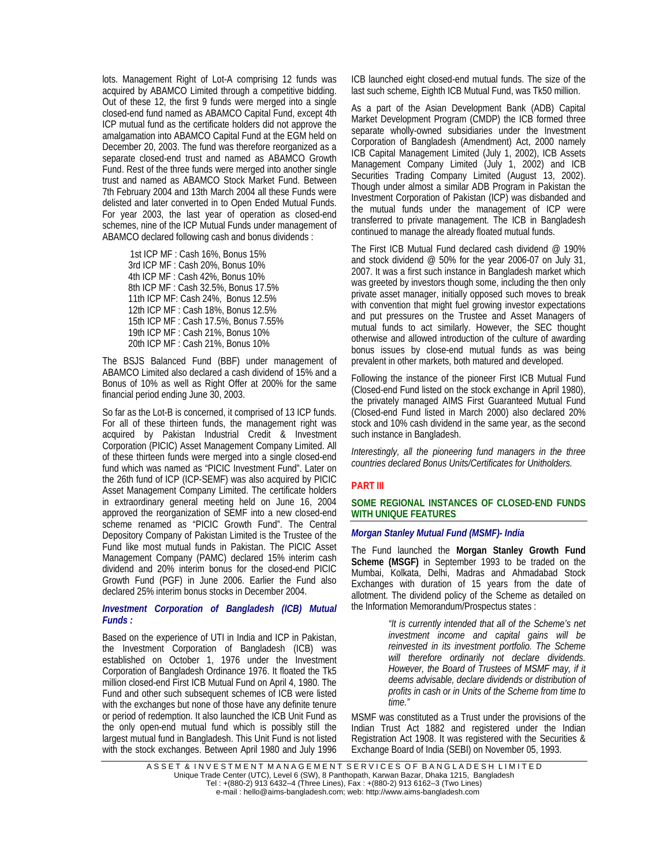lots. Management Right of Lot-A comprising 12 funds was acquired by ABAMCO Limited through a competitive bidding. Out of these 12, the first 9 funds were merged into a single closed-end fund named as ABAMCO Capital Fund, except 4th ICP mutual fund as the certificate holders did not approve the amalgamation into ABAMCO Capital Fund at the EGM held on December 20, 2003. The fund was therefore reorganized as a separate closed-end trust and named as ABAMCO Growth Fund. Rest of the three funds were merged into another single trust and named as ABAMCO Stock Market Fund. Between 7th February 2004 and 13th March 2004 all these Funds were delisted and later converted in to Open Ended Mutual Funds. For year 2003, the last year of operation as closed-end schemes, nine of the ICP Mutual Funds under management of ABAMCO declared following cash and bonus dividends :

> 1st ICP MF : Cash 16%, Bonus 15% 3rd ICP MF : Cash 20%, Bonus 10% 4th ICP MF : Cash 42%, Bonus 10% 8th ICP MF : Cash 32.5%, Bonus 17.5% 11th ICP MF: Cash 24%, Bonus 12.5% 12th ICP MF : Cash 18%, Bonus 12.5% 15th ICP MF : Cash 17.5%, Bonus 7.55% 19th ICP MF : Cash 21%, Bonus 10% 20th ICP MF : Cash 21%, Bonus 10%

The BSJS Balanced Fund (BBF) under management of ABAMCO Limited also declared a cash dividend of 15% and a Bonus of 10% as well as Right Offer at 200% for the same financial period ending June 30, 2003.

So far as the Lot-B is concerned, it comprised of 13 ICP funds. For all of these thirteen funds, the management right was acquired by Pakistan Industrial Credit & Investment Corporation (PICIC) Asset Management Company Limited. All of these thirteen funds were merged into a single closed-end fund which was named as "PICIC Investment Fund". Later on the 26th fund of ICP (ICP-SEMF) was also acquired by PICIC Asset Management Company Limited. The certificate holders in extraordinary general meeting held on June 16, 2004 approved the reorganization of SEMF into a new closed-end scheme renamed as "PICIC Growth Fund". The Central Depository Company of Pakistan Limited is the Trustee of the Fund like most mutual funds in Pakistan. The PICIC Asset Management Company (PAMC) declared 15% interim cash dividend and 20% interim bonus for the closed-end PICIC Growth Fund (PGF) in June 2006. Earlier the Fund also declared 25% interim bonus stocks in December 2004.

#### *Investment Corporation of Bangladesh (ICB) Mutual Funds :*

Based on the experience of UTI in India and ICP in Pakistan, the Investment Corporation of Bangladesh (ICB) was established on October 1, 1976 under the Investment Corporation of Bangladesh Ordinance 1976. It floated the Tk5 million closed-end First ICB Mutual Fund on April 4, 1980. The Fund and other such subsequent schemes of ICB were listed with the exchanges but none of those have any definite tenure or period of redemption. It also launched the ICB Unit Fund as the only open-end mutual fund which is possibly still the largest mutual fund in Bangladesh. This Unit Fund is not listed with the stock exchanges. Between April 1980 and July 1996 ICB launched eight closed-end mutual funds. The size of the last such scheme, Eighth ICB Mutual Fund, was Tk50 million.

As a part of the Asian Development Bank (ADB) Capital Market Development Program (CMDP) the ICB formed three separate wholly-owned subsidiaries under the Investment Corporation of Bangladesh (Amendment) Act, 2000 namely ICB Capital Management Limited (July 1, 2002), ICB Assets Management Company Limited (July 1, 2002) and ICB Securities Trading Company Limited (August 13, 2002). Though under almost a similar ADB Program in Pakistan the Investment Corporation of Pakistan (ICP) was disbanded and the mutual funds under the management of ICP were transferred to private management. The ICB in Bangladesh continued to manage the already floated mutual funds.

The First ICB Mutual Fund declared cash dividend @ 190% and stock dividend @ 50% for the year 2006-07 on July 31, 2007. It was a first such instance in Bangladesh market which was greeted by investors though some, including the then only private asset manager, initially opposed such moves to break with convention that might fuel growing investor expectations and put pressures on the Trustee and Asset Managers of mutual funds to act similarly. However, the SEC thought otherwise and allowed introduction of the culture of awarding bonus issues by close-end mutual funds as was being prevalent in other markets, both matured and developed.

Following the instance of the pioneer First ICB Mutual Fund (Closed-end Fund listed on the stock exchange in April 1980), the privately managed AIMS First Guaranteed Mutual Fund (Closed-end Fund listed in March 2000) also declared 20% stock and 10% cash dividend in the same year, as the second such instance in Bangladesh.

*Interestingly, all the pioneering fund managers in the three countries declared Bonus Units/Certificates for Unitholders.* 

# **PART III**

### **SOME REGIONAL INSTANCES OF CLOSED-END FUNDS WITH UNIQUE FEATURES**

#### *Morgan Stanley Mutual Fund (MSMF)- India*

The Fund launched the **Morgan Stanley Growth Fund Scheme (MSGF)** in September 1993 to be traded on the Mumbai, Kolkata, Delhi, Madras and Ahmadabad Stock Exchanges with duration of 15 years from the date of allotment. The dividend policy of the Scheme as detailed on the Information Memorandum/Prospectus states :

> *"It is currently intended that all of the Scheme's net investment income and capital gains will be reinvested in its investment portfolio. The Scheme will therefore ordinarily not declare dividends. However, the Board of Trustees of MSMF may, if it deems advisable, declare dividends or distribution of profits in cash or in Units of the Scheme from time to time."*

MSMF was constituted as a Trust under the provisions of the Indian Trust Act 1882 and registered under the Indian Registration Act 1908. It was registered with the Securities & Exchange Board of India (SEBI) on November 05, 1993.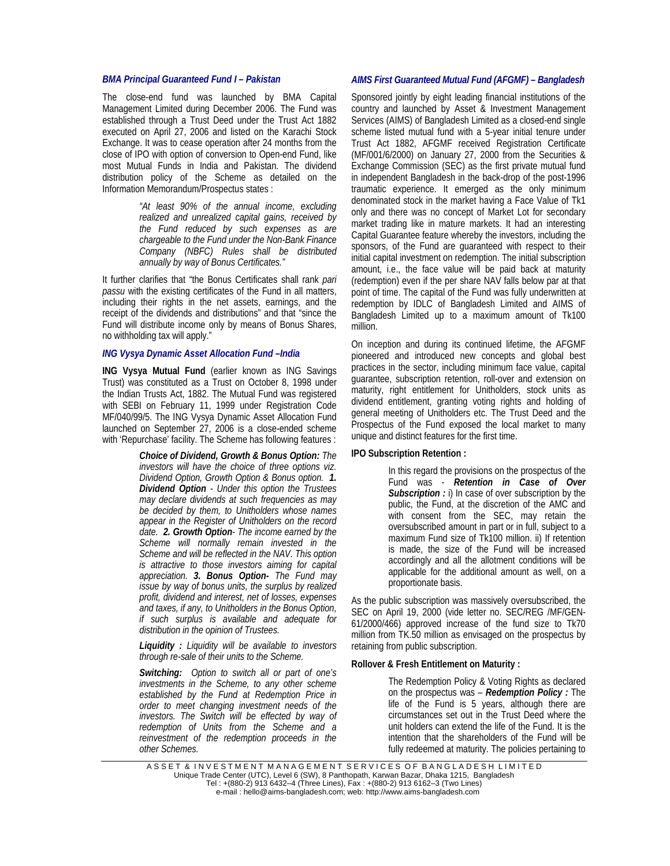## *BMA Principal Guaranteed Fund I – Pakistan*

The close-end fund was launched by BMA Capital Management Limited during December 2006. The Fund was established through a Trust Deed under the Trust Act 1882 executed on April 27, 2006 and listed on the Karachi Stock Exchange. It was to cease operation after 24 months from the close of IPO with option of conversion to Open-end Fund, like most Mutual Funds in India and Pakistan. The dividend distribution policy of the Scheme as detailed on the Information Memorandum/Prospectus states :

> *"At least 90% of the annual income, excluding realized and unrealized capital gains, received by the Fund reduced by such expenses as are chargeable to the Fund under the Non-Bank Finance Company (NBFC) Rules shall be distributed annually by way of Bonus Certificates."*

It further clarifies that "the Bonus Certificates shall rank *pari passu* with the existing certificates of the Fund in all matters, including their rights in the net assets, earnings, and the receipt of the dividends and distributions" and that "since the Fund will distribute income only by means of Bonus Shares, no withholding tax will apply."

#### *ING Vysya Dynamic Asset Allocation Fund –India*

**ING Vysya Mutual Fund** (earlier known as ING Savings Trust) was constituted as a Trust on October 8, 1998 under the Indian Trusts Act, 1882. The Mutual Fund was registered with SEBI on February 11, 1999 under Registration Code MF/040/99/5. The ING Vysya Dynamic Asset Allocation Fund launched on September 27, 2006 is a close-ended scheme with 'Repurchase' facility. The Scheme has following features :

> *Choice of Dividend, Growth & Bonus Option: The investors will have the choice of three options viz. Dividend Option, Growth Option & Bonus option. 1. Dividend Option - Under this option the Trustees may declare dividends at such frequencies as may be decided by them, to Unitholders whose names appear in the Register of Unitholders on the record date. 2. Growth Option- The income earned by the Scheme will normally remain invested in the Scheme and will be reflected in the NAV. This option is attractive to those investors aiming for capital appreciation. 3. Bonus Option- The Fund may issue by way of bonus units, the surplus by realized profit, dividend and interest, net of losses, expenses and taxes, if any, to Unitholders in the Bonus Option, if such surplus is available and adequate for distribution in the opinion of Trustees.*

> *Liquidity : Liquidity will be available to investors through re-sale of their units to the Scheme.*

*Switching: Option to switch all or part of one's investments in the Scheme, to any other scheme established by the Fund at Redemption Price in order to meet changing investment needs of the investors. The Switch will be effected by way of redemption of Units from the Scheme and a reinvestment of the redemption proceeds in the other Schemes.* 

#### *AIMS First Guaranteed Mutual Fund (AFGMF) – Bangladesh*

Sponsored jointly by eight leading financial institutions of the country and launched by Asset & Investment Management Services (AIMS) of Bangladesh Limited as a closed-end single scheme listed mutual fund with a 5-year initial tenure under Trust Act 1882, AFGMF received Registration Certificate (MF/001/6/2000) on January 27, 2000 from the Securities & Exchange Commission (SEC) as the first private mutual fund in independent Bangladesh in the back-drop of the post-1996 traumatic experience. It emerged as the only minimum denominated stock in the market having a Face Value of Tk1 only and there was no concept of Market Lot for secondary market trading like in mature markets. It had an interesting Capital Guarantee feature whereby the investors, including the sponsors, of the Fund are guaranteed with respect to their initial capital investment on redemption. The initial subscription amount, i.e., the face value will be paid back at maturity (redemption) even if the per share NAV falls below par at that point of time. The capital of the Fund was fully underwritten at redemption by IDLC of Bangladesh Limited and AIMS of Bangladesh Limited up to a maximum amount of Tk100 million.

On inception and during its continued lifetime, the AFGMF pioneered and introduced new concepts and global best practices in the sector, including minimum face value, capital guarantee, subscription retention, roll-over and extension on maturity, right entitlement for Unitholders, stock units as dividend entitlement, granting voting rights and holding of general meeting of Unitholders etc. The Trust Deed and the Prospectus of the Fund exposed the local market to many unique and distinct features for the first time.

#### **IPO Subscription Retention :**

In this regard the provisions on the prospectus of the Fund was - *Retention in Case of Over Subscription :* i) In case of over subscription by the public, the Fund, at the discretion of the AMC and with consent from the SEC, may retain the oversubscribed amount in part or in full, subject to a maximum Fund size of Tk100 million. ii) If retention is made, the size of the Fund will be increased accordingly and all the allotment conditions will be applicable for the additional amount as well, on a proportionate basis.

As the public subscription was massively oversubscribed, the SEC on April 19, 2000 (vide letter no. SEC/REG /MF/GEN-61/2000/466) approved increase of the fund size to Tk70 million from TK.50 million as envisaged on the prospectus by retaining from public subscription.

#### **Rollover & Fresh Entitlement on Maturity :**

The Redemption Policy & Voting Rights as declared on the prospectus was – *Redemption Policy :* The life of the Fund is 5 years, although there are circumstances set out in the Trust Deed where the unit holders can extend the life of the Fund. It is the intention that the shareholders of the Fund will be fully redeemed at maturity. The policies pertaining to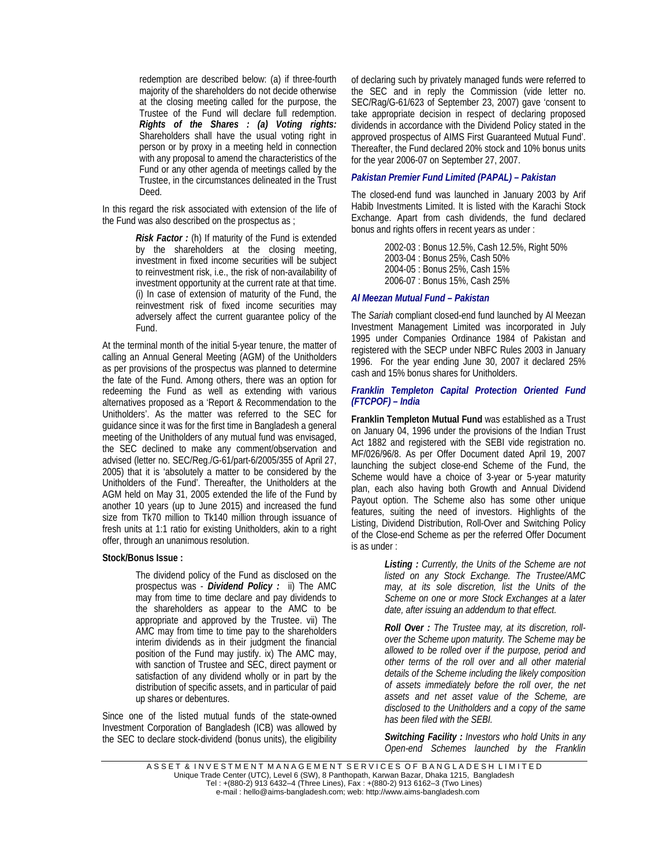redemption are described below: (a) if three-fourth majority of the shareholders do not decide otherwise at the closing meeting called for the purpose, the Trustee of the Fund will declare full redemption. *Rights of the Shares : (a) Voting rights:* Shareholders shall have the usual voting right in person or by proxy in a meeting held in connection with any proposal to amend the characteristics of the Fund or any other agenda of meetings called by the Trustee, in the circumstances delineated in the Trust Deed.

In this regard the risk associated with extension of the life of the Fund was also described on the prospectus as ;

> *Risk Factor :* (h) If maturity of the Fund is extended by the shareholders at the closing meeting, investment in fixed income securities will be subject to reinvestment risk, i.e., the risk of non-availability of investment opportunity at the current rate at that time. (i) In case of extension of maturity of the Fund, the reinvestment risk of fixed income securities may adversely affect the current guarantee policy of the Fund.

At the terminal month of the initial 5-year tenure, the matter of calling an Annual General Meeting (AGM) of the Unitholders as per provisions of the prospectus was planned to determine the fate of the Fund. Among others, there was an option for redeeming the Fund as well as extending with various alternatives proposed as a 'Report & Recommendation to the Unitholders'. As the matter was referred to the SEC for guidance since it was for the first time in Bangladesh a general meeting of the Unitholders of any mutual fund was envisaged, the SEC declined to make any comment/observation and advised (letter no. SEC/Reg./G-61/part-6/2005/355 of April 27, 2005) that it is 'absolutely a matter to be considered by the Unitholders of the Fund'. Thereafter, the Unitholders at the AGM held on May 31, 2005 extended the life of the Fund by another 10 years (up to June 2015) and increased the fund size from Tk70 million to Tk140 million through issuance of fresh units at 1:1 ratio for existing Unitholders, akin to a right offer, through an unanimous resolution.

## **Stock/Bonus Issue :**

The dividend policy of the Fund as disclosed on the prospectus was - *Dividend Policy :* ii) The AMC may from time to time declare and pay dividends to the shareholders as appear to the AMC to be appropriate and approved by the Trustee. vii) The AMC may from time to time pay to the shareholders interim dividends as in their judgment the financial position of the Fund may justify. ix) The AMC may, with sanction of Trustee and SEC, direct payment or satisfaction of any dividend wholly or in part by the distribution of specific assets, and in particular of paid up shares or debentures.

Since one of the listed mutual funds of the state-owned Investment Corporation of Bangladesh (ICB) was allowed by the SEC to declare stock-dividend (bonus units), the eligibility of declaring such by privately managed funds were referred to the SEC and in reply the Commission (vide letter no. SEC/Rag/G-61/623 of September 23, 2007) gave 'consent to take appropriate decision in respect of declaring proposed dividends in accordance with the Dividend Policy stated in the approved prospectus of AIMS First Guaranteed Mutual Fund'. Thereafter, the Fund declared 20% stock and 10% bonus units for the year 2006-07 on September 27, 2007.

## *Pakistan Premier Fund Limited (PAPAL) – Pakistan*

The closed-end fund was launched in January 2003 by Arif Habib Investments Limited. It is listed with the Karachi Stock Exchange. Apart from cash dividends, the fund declared bonus and rights offers in recent years as under :

> 2002-03 : Bonus 12.5%, Cash 12.5%, Right 50% 2003-04 : Bonus 25%, Cash 50% 2004-05 : Bonus 25%, Cash 15% 2006-07 : Bonus 15%, Cash 25%

#### *Al Meezan Mutual Fund – Pakistan*

The *Sariah* compliant closed-end fund launched by Al Meezan Investment Management Limited was incorporated in July 1995 under Companies Ordinance 1984 of Pakistan and registered with the SECP under NBFC Rules 2003 in January 1996. For the year ending June 30, 2007 it declared 25% cash and 15% bonus shares for Unitholders.

## *Franklin Templeton Capital Protection Oriented Fund (FTCPOF) – India*

**Franklin Templeton Mutual Fund** was established as a Trust on January 04, 1996 under the provisions of the Indian Trust Act 1882 and registered with the SEBI vide registration no. MF/026/96/8. As per Offer Document dated April 19, 2007 launching the subject close-end Scheme of the Fund, the Scheme would have a choice of 3-year or 5-year maturity plan, each also having both Growth and Annual Dividend Payout option. The Scheme also has some other unique features, suiting the need of investors. Highlights of the Listing, Dividend Distribution, Roll-Over and Switching Policy of the Close-end Scheme as per the referred Offer Document is as under :

> *Listing : Currently, the Units of the Scheme are not listed on any Stock Exchange. The Trustee/AMC may, at its sole discretion, list the Units of the Scheme on one or more Stock Exchanges at a later date, after issuing an addendum to that effect.*

> *Roll Over : The Trustee may, at its discretion, rollover the Scheme upon maturity. The Scheme may be allowed to be rolled over if the purpose, period and other terms of the roll over and all other material details of the Scheme including the likely composition of assets immediately before the roll over, the net assets and net asset value of the Scheme, are disclosed to the Unitholders and a copy of the same has been filed with the SEBI.*

> *Switching Facility : Investors who hold Units in any Open-end Schemes launched by the Franklin*